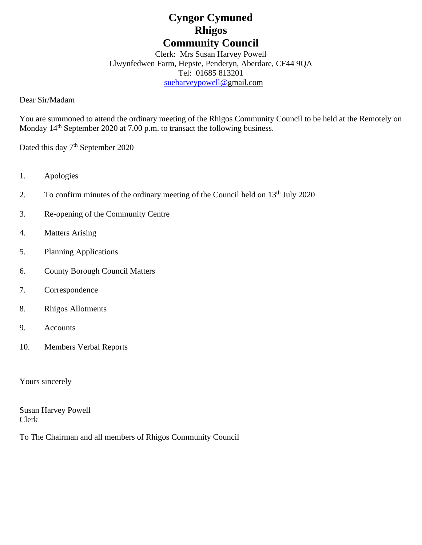# **Cyngor Cymuned Rhigos Community Council**

Clerk: Mrs Susan Harvey Powell Llwynfedwen Farm, Hepste, Penderyn, Aberdare, CF44 9QA Tel: 01685 813201 [sueharveypowell@g](mailto:sharveypowell@comin-infants.co.uk)mail.com

Dear Sir/Madam

You are summoned to attend the ordinary meeting of the Rhigos Community Council to be held at the Remotely on Monday 14<sup>th</sup> September 2020 at 7.00 p.m. to transact the following business.

Dated this day 7<sup>th</sup> September 2020

- 1. Apologies
- 2. To confirm minutes of the ordinary meeting of the Council held on 13<sup>th</sup> July 2020
- 3. Re-opening of the Community Centre
- 4. Matters Arising
- 5. Planning Applications
- 6. County Borough Council Matters
- 7. Correspondence
- 8. Rhigos Allotments
- 9. Accounts
- 10. Members Verbal Reports

Yours sincerely

Susan Harvey Powell Clerk

To The Chairman and all members of Rhigos Community Council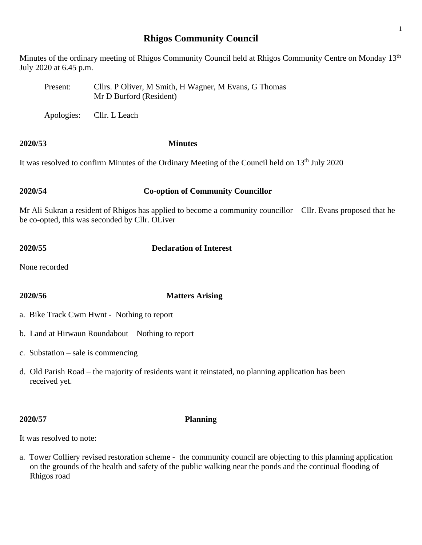# **Rhigos Community Council**

Minutes of the ordinary meeting of Rhigos Community Council held at Rhigos Community Centre on Monday 13<sup>th</sup> July 2020 at 6.45 p.m.

- Present: Cllrs. P Oliver, M Smith, H Wagner, M Evans, G Thomas Mr D Burford (Resident)
- Apologies: Cllr. L Leach

# **2020/53 Minutes**

It was resolved to confirm Minutes of the Ordinary Meeting of the Council held on 13<sup>th</sup> July 2020

# **2020/54 Co-option of Community Councillor**

Mr Ali Sukran a resident of Rhigos has applied to become a community councillor – Cllr. Evans proposed that he be co-opted, this was seconded by Cllr. OLiver

# **2020/55 Declaration of Interest**

None recorded

# **2020/56 Matters Arising**

- a. Bike Track Cwm Hwnt Nothing to report
- b. Land at Hirwaun Roundabout Nothing to report
- c. Substation sale is commencing
- d. Old Parish Road the majority of residents want it reinstated, no planning application has been received yet.

### **2020/57 Planning**

It was resolved to note:

a. Tower Colliery revised restoration scheme - the community council are objecting to this planning application on the grounds of the health and safety of the public walking near the ponds and the continual flooding of Rhigos road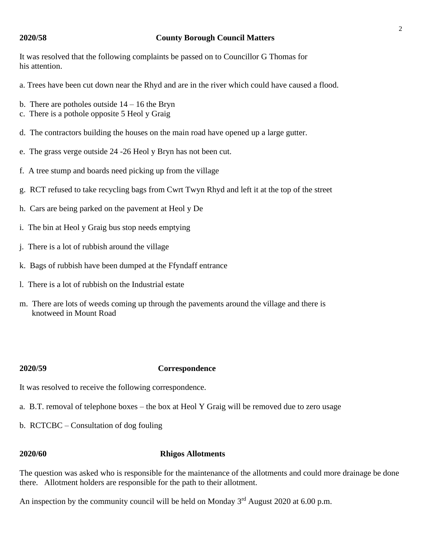### **2020/58 County Borough Council Matters**

It was resolved that the following complaints be passed on to Councillor G Thomas for his attention.

- a. Trees have been cut down near the Rhyd and are in the river which could have caused a flood.
- b. There are potholes outside  $14 16$  the Bryn
- c. There is a pothole opposite 5 Heol y Graig
- d. The contractors building the houses on the main road have opened up a large gutter.
- e. The grass verge outside 24 -26 Heol y Bryn has not been cut.
- f. A tree stump and boards need picking up from the village
- g. RCT refused to take recycling bags from Cwrt Twyn Rhyd and left it at the top of the street
- h. Cars are being parked on the pavement at Heol y De
- i. The bin at Heol y Graig bus stop needs emptying
- j. There is a lot of rubbish around the village
- k. Bags of rubbish have been dumped at the Ffyndaff entrance
- l. There is a lot of rubbish on the Industrial estate
- m. There are lots of weeds coming up through the pavements around the village and there is knotweed in Mount Road

### **2020/59 Correspondence**

It was resolved to receive the following correspondence.

- a. B.T. removal of telephone boxes the box at Heol Y Graig will be removed due to zero usage
- b. RCTCBC Consultation of dog fouling

### **2020/60 Rhigos Allotments**

The question was asked who is responsible for the maintenance of the allotments and could more drainage be done there. Allotment holders are responsible for the path to their allotment.

An inspection by the community council will be held on Monday  $3<sup>rd</sup>$  August 2020 at 6.00 p.m.